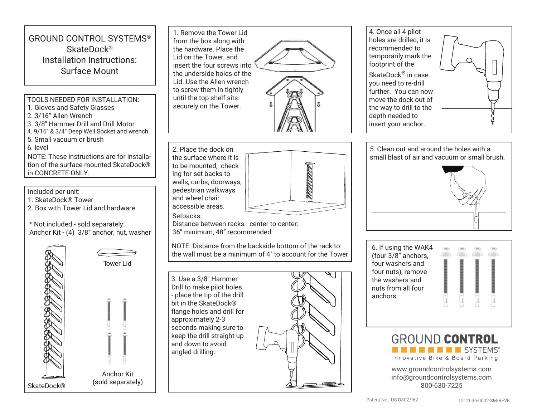## GROUND CONTROL SYSTEMS® SkateDock® Installation Instructions: Surface Mount

## TOOLS NEEDED FOR INSTALLATION:

- 1. Gloves and Safety Glasses
- 2. 3/16" Allen Wrench
- 3. 3/8" Hammer Drill and Drill Motor
- 4. 9/16" & 3/4" Deep Well Socket and wrench
- 5. Small vacuum or brush
- 6. level

NOTE: These instructions are for installation of the surface mounted SkateDock® in CONCRETE ONLY.

Included per unit:

- 1. SkateDock® Tower
- 2. Box with Tower Lid and hardware

\* Not included - sold separately: Anchor Kit - (4) 3/8" anchor, nut, washer



Tower Lid

Anchor Kit (sold separately)

1. Remove the Tower Lid from the box along with the hardware. Place the Lid on the Tower, and insert the four screws into the underside holes of the Lid. Use the Allen wrench to screw them in tightly until the top shelf sits securely on the Tower.





Distance between racks - center to center: 36" minimum, 48" recommended

NOTE: Distance from the backside bottom of the rack to the wall must be a minimum of 4" to account for the Tower



4. Once all 4 pilot holes are drilled, it is recommended to temporarily mark the footprint of the SkateDock® in case

you need to re-drill further. You can now move the dock out of the way to drill to the depth needed to insert your anchor.



5. Clean out and around the holes with a small blast of air and vacuum or small brush.



6. If using the WAK4 (four 3/8" anchors, four washers and four nuts), remove the washers and nuts from all four anchors.





www.groundcontrolsystems.com info@groundcontrolsystems.com 800-630-7225